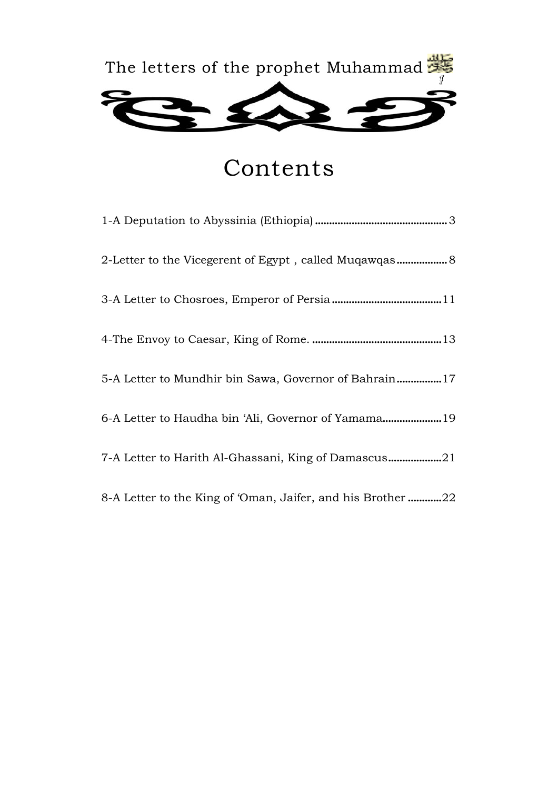

## Contents

| 2-Letter to the Vicegerent of Egypt, called Muqawqas 8     |
|------------------------------------------------------------|
|                                                            |
|                                                            |
| 5-A Letter to Mundhir bin Sawa, Governor of Bahrain17      |
| 6-A Letter to Haudha bin 'Ali, Governor of Yamama19        |
| 7-A Letter to Harith Al-Ghassani, King of Damascus21       |
| 8-A Letter to the King of 'Oman, Jaifer, and his Brother22 |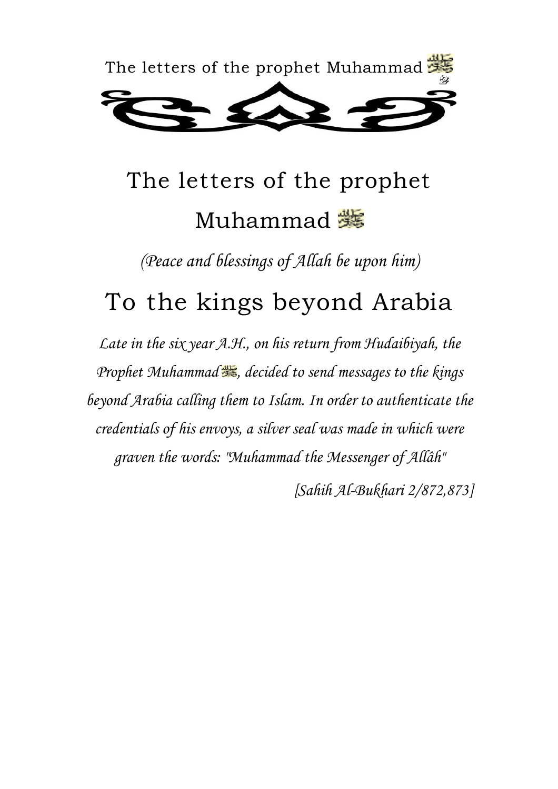

# The letters of the prophet Muhammad <del>難</del>

*(Peace and blessings of Allah be upon him)* 

## To the kings beyond Arabia

*Late in the six year A.H., on his return from Hudaibiyah, the Prophet Muhammad*  $\frac{d}{dx}$ , decided to send messages to the kings *beyond Arabia calling them to Islam. In order to authenticate the credentials of his envoys, a silver seal was made in which were graven the words: "Muhammad the Messenger of Allâh"* 

 *[Sahih Al-Bukhari 2/872,873]*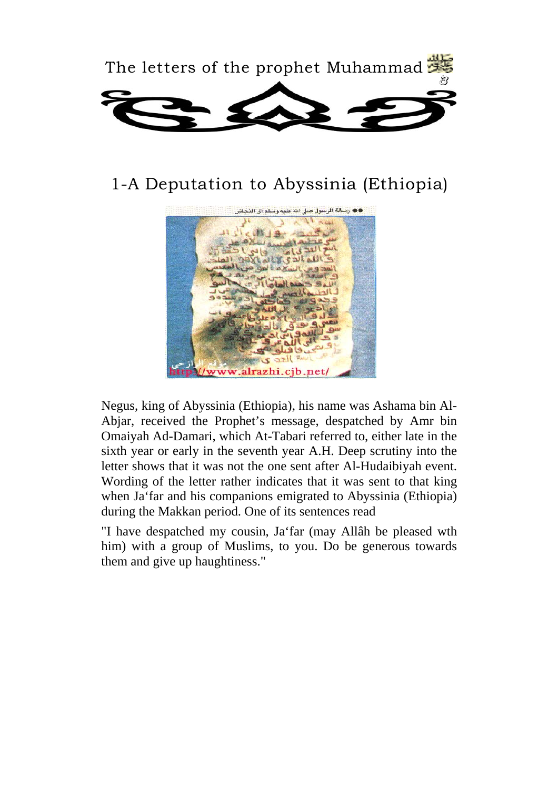

### 1-A Deputation to Abyssinia (Ethiopia)



Negus, king of Abyssinia (Ethiopia), his name was Ashama bin Al-Abjar, received the Prophet's message, despatched by Amr bin Omaiyah Ad-Damari, which At-Tabari referred to, either late in the sixth year or early in the seventh year A.H. Deep scrutiny into the letter shows that it was not the one sent after Al-Hudaibiyah event. Wording of the letter rather indicates that it was sent to that king when Ja'far and his companions emigrated to Abyssinia (Ethiopia) during the Makkan period. One of its sentences read

"I have despatched my cousin, Ja'far (may Allâh be pleased wth him) with a group of Muslims, to you. Do be generous towards them and give up haughtiness."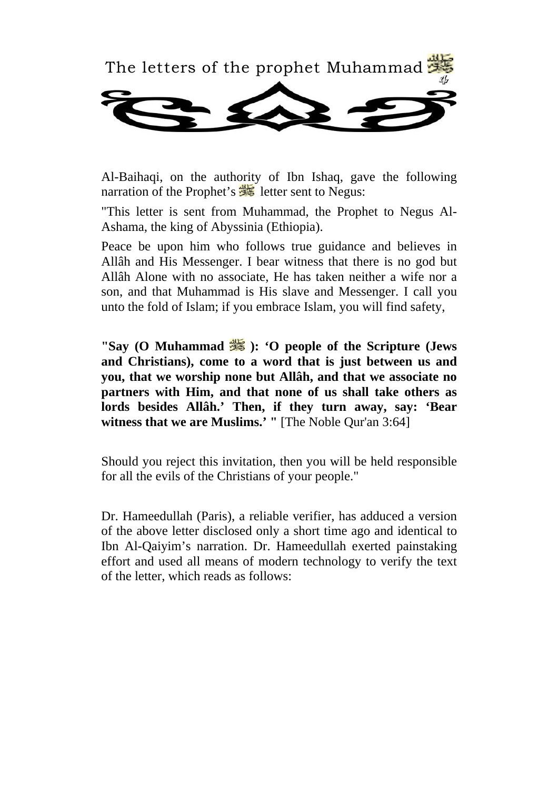

Al-Baihaqi, on the authority of Ibn Ishaq, gave the following narration of the Prophet's **is a letter sent to Negus:** 

"This letter is sent from Muhammad, the Prophet to Negus Al-Ashama, the king of Abyssinia (Ethiopia).

Peace be upon him who follows true guidance and believes in Allâh and His Messenger. I bear witness that there is no god but Allâh Alone with no associate, He has taken neither a wife nor a son, and that Muhammad is His slave and Messenger. I call you unto the fold of Islam; if you embrace Islam, you will find safety,

**"Say (O Muhammad**  $\frac{d\mathbf{S}}{d\mathbf{S}}$ **): 'O people of the Scripture (Jews and Christians), come to a word that is just between us and you, that we worship none but Allâh, and that we associate no partners with Him, and that none of us shall take others as lords besides Allâh.' Then, if they turn away, say: 'Bear witness that we are Muslims.' "** [The Noble Qur'an 3:64]

Should you reject this invitation, then you will be held responsible for all the evils of the Christians of your people."

Dr. Hameedullah (Paris), a reliable verifier, has adduced a version of the above letter disclosed only a short time ago and identical to Ibn Al-Qaiyim's narration. Dr. Hameedullah exerted painstaking effort and used all means of modern technology to verify the text of the letter, which reads as follows: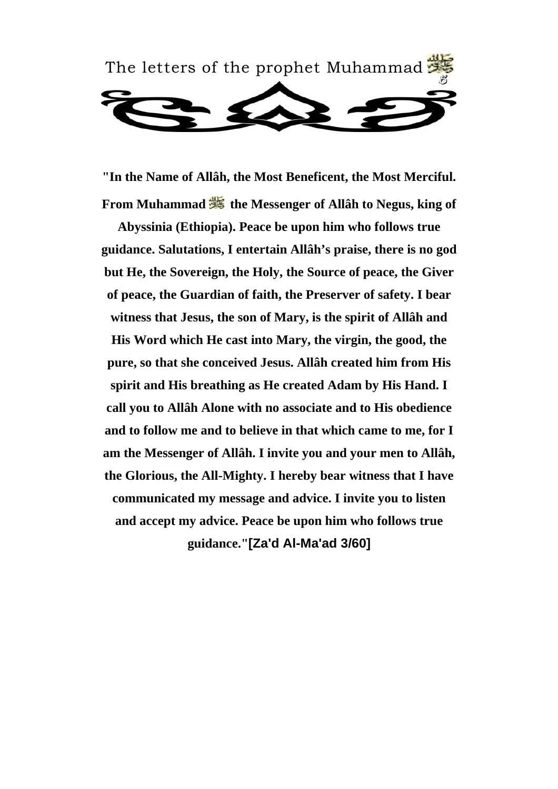

**"In the Name of Allâh, the Most Beneficent, the Most Merciful. From Muhammad**  $\frac{dM}{dS}$  **the Messenger of Allâh to Negus, king of** 

**Abyssinia (Ethiopia). Peace be upon him who follows true guidance. Salutations, I entertain Allâh's praise, there is no god but He, the Sovereign, the Holy, the Source of peace, the Giver of peace, the Guardian of faith, the Preserver of safety. I bear witness that Jesus, the son of Mary, is the spirit of Allâh and His Word which He cast into Mary, the virgin, the good, the pure, so that she conceived Jesus. Allâh created him from His spirit and His breathing as He created Adam by His Hand. I call you to Allâh Alone with no associate and to His obedience and to follow me and to believe in that which came to me, for I am the Messenger of Allâh. I invite you and your men to Allâh, the Glorious, the All-Mighty. I hereby bear witness that I have communicated my message and advice. I invite you to listen and accept my advice. Peace be upon him who follows true guidance."[Za'd Al-Ma'ad 3/60]**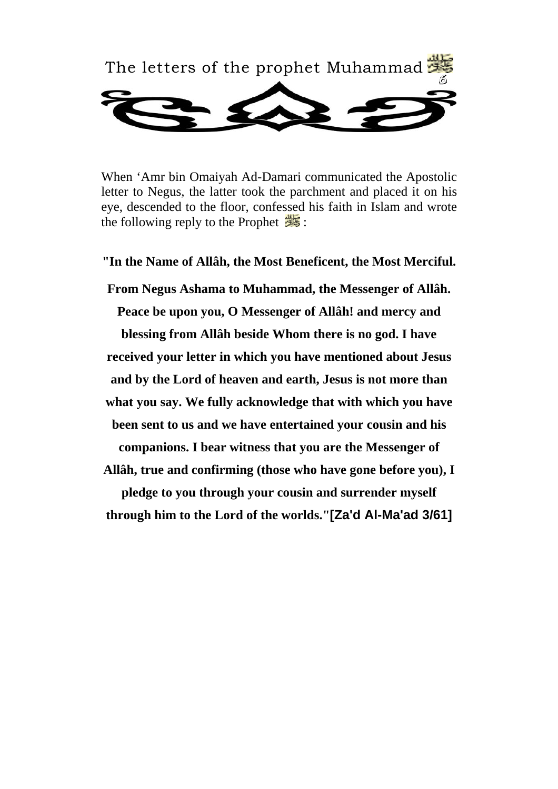

When 'Amr bin Omaiyah Ad-Damari communicated the Apostolic letter to Negus, the latter took the parchment and placed it on his eye, descended to the floor, confessed his faith in Islam and wrote the following reply to the Prophet  $\frac{1}{2}$ :

**"In the Name of Allâh, the Most Beneficent, the Most Merciful. From Negus Ashama to Muhammad, the Messenger of Allâh. Peace be upon you, O Messenger of Allâh! and mercy and blessing from Allâh beside Whom there is no god. I have received your letter in which you have mentioned about Jesus and by the Lord of heaven and earth, Jesus is not more than what you say. We fully acknowledge that with which you have been sent to us and we have entertained your cousin and his companions. I bear witness that you are the Messenger of Allâh, true and confirming (those who have gone before you), I pledge to you through your cousin and surrender myself through him to the Lord of the worlds."[Za'd Al-Ma'ad 3/61]**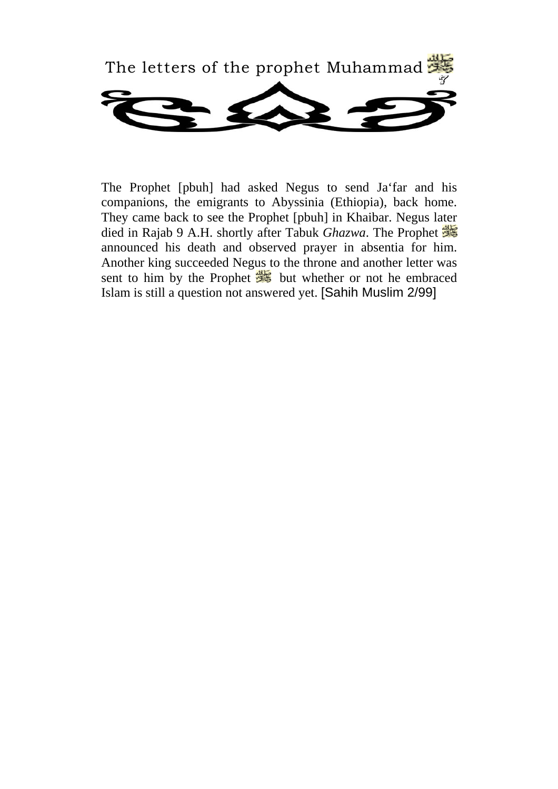

The Prophet [pbuh] had asked Negus to send Ja'far and his companions, the emigrants to Abyssinia (Ethiopia), back home. They came back to see the Prophet [pbuh] in Khaibar. Negus later died in Rajab 9 A.H. shortly after Tabuk *Ghazwa*. The Prophet announced his death and observed prayer in absentia for him. Another king succeeded Negus to the throne and another letter was sent to him by the Prophet  $\frac{1}{\sqrt{2}}$  but whether or not he embraced Islam is still a question not answered yet. [Sahih Muslim 2/99]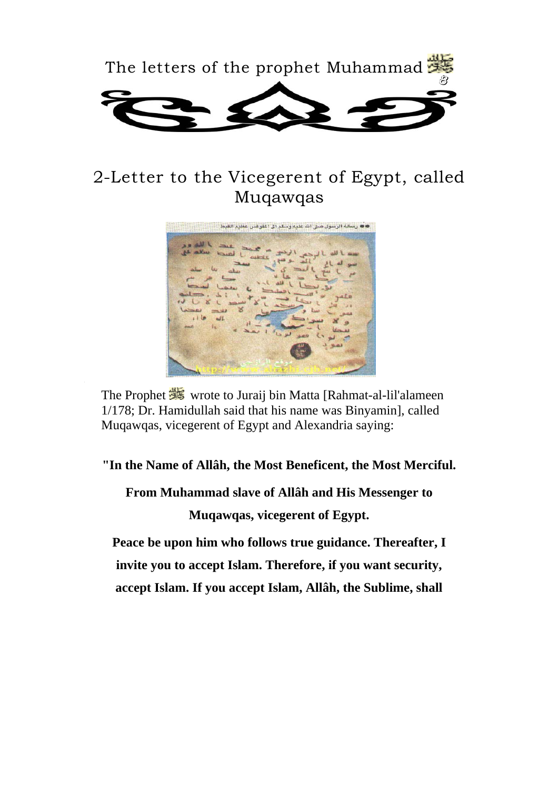

### 2-Letter to the Vicegerent of Egypt, called Muqawqas



The Prophet wrote to Juraij bin Matta [Rahmat-al-lil'alameen] 1/178; Dr. Hamidullah said that his name was Binyamin], called Muqawqas, vicegerent of Egypt and Alexandria saying:

#### **"In the Name of Allâh, the Most Beneficent, the Most Merciful.**

**From Muhammad slave of Allâh and His Messenger to Muqawqas, vicegerent of Egypt.** 

**Peace be upon him who follows true guidance. Thereafter, I invite you to accept Islam. Therefore, if you want security, accept Islam. If you accept Islam, Allâh, the Sublime, shall**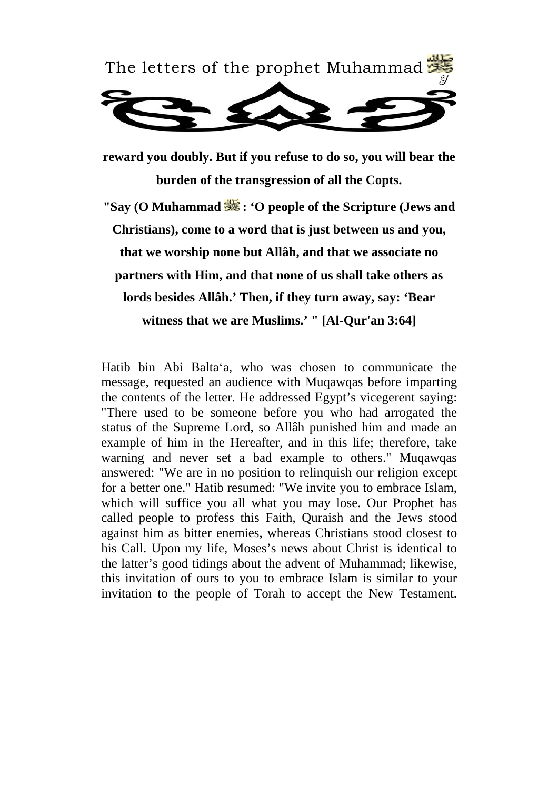

**reward you doubly. But if you refuse to do so, you will bear the burden of the transgression of all the Copts.** 

**"Say (O Muhammad**  $\frac{d\mathbf{X}}{d\mathbf{S}}$ **: 'O people of the Scripture (Jews and Christians), come to a word that is just between us and you, that we worship none but Allâh, and that we associate no partners with Him, and that none of us shall take others as lords besides Allâh.' Then, if they turn away, say: 'Bear witness that we are Muslims.' " [Al-Qur'an 3:64]** 

Hatib bin Abi Balta'a, who was chosen to communicate the message, requested an audience with Muqawqas before imparting the contents of the letter. He addressed Egypt's vicegerent saying: "There used to be someone before you who had arrogated the status of the Supreme Lord, so Allâh punished him and made an example of him in the Hereafter, and in this life; therefore, take warning and never set a bad example to others." Muqawqas answered: "We are in no position to relinquish our religion except for a better one." Hatib resumed: "We invite you to embrace Islam, which will suffice you all what you may lose. Our Prophet has called people to profess this Faith, Quraish and the Jews stood against him as bitter enemies, whereas Christians stood closest to his Call. Upon my life, Moses's news about Christ is identical to the latter's good tidings about the advent of Muhammad; likewise, this invitation of ours to you to embrace Islam is similar to your invitation to the people of Torah to accept the New Testament.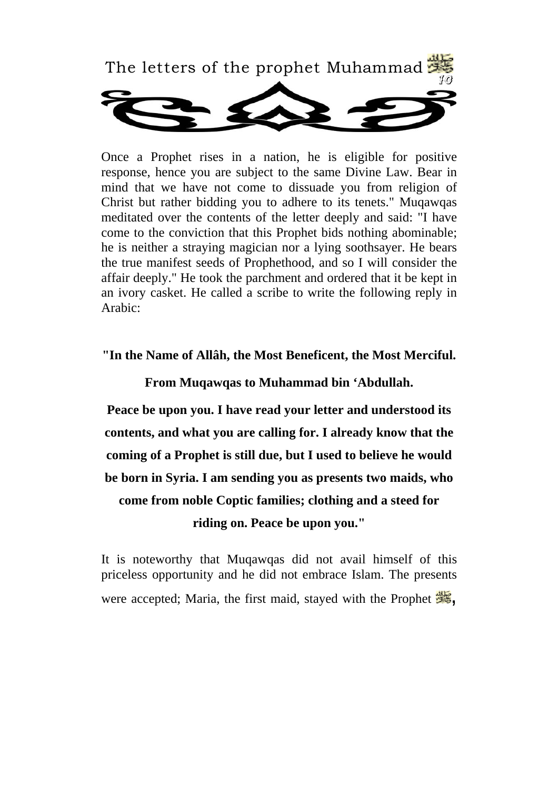

Once a Prophet rises in a nation, he is eligible for positive response, hence you are subject to the same Divine Law. Bear in mind that we have not come to dissuade you from religion of Christ but rather bidding you to adhere to its tenets." Muqawqas meditated over the contents of the letter deeply and said: "I have come to the conviction that this Prophet bids nothing abominable; he is neither a straying magician nor a lying soothsayer. He bears the true manifest seeds of Prophethood, and so I will consider the affair deeply." He took the parchment and ordered that it be kept in an ivory casket. He called a scribe to write the following reply in Arabic:

#### **"In the Name of Allâh, the Most Beneficent, the Most Merciful.**

**From Muqawqas to Muhammad bin 'Abdullah.**

**Peace be upon you. I have read your letter and understood its contents, and what you are calling for. I already know that the coming of a Prophet is still due, but I used to believe he would be born in Syria. I am sending you as presents two maids, who come from noble Coptic families; clothing and a steed for riding on. Peace be upon you."** 

It is noteworthy that Muqawqas did not avail himself of this priceless opportunity and he did not embrace Islam. The presents were accepted; Maria, the first maid, stayed with the Prophet  $\frac{1}{2}$ ,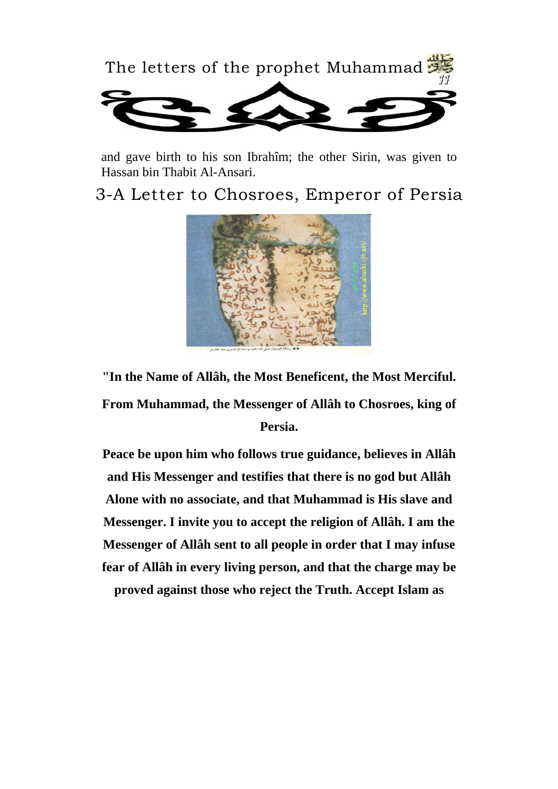

and gave birth to his son Ibrahîm; the other Sirin, was given to Hassan bin Thabit Al-Ansari.

3-A Letter to Chosroes, Emperor of Persia



**"In the Name of Allâh, the Most Beneficent, the Most Merciful. From Muhammad, the Messenger of Allâh to Chosroes, king of Persia.** 

**Peace be upon him who follows true guidance, believes in Allâh and His Messenger and testifies that there is no god but Allâh Alone with no associate, and that Muhammad is His slave and Messenger. I invite you to accept the religion of Allâh. I am the Messenger of Allâh sent to all people in order that I may infuse fear of Allâh in every living person, and that the charge may be proved against those who reject the Truth. Accept Islam as**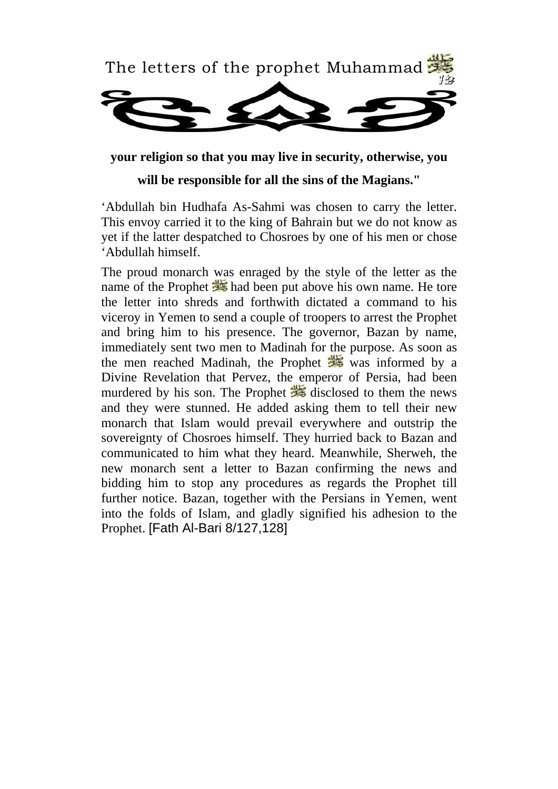

**your religion so that you may live in security, otherwise, you** 

**will be responsible for all the sins of the Magians."** 

'Abdullah bin Hudhafa As-Sahmi was chosen to carry the letter. This envoy carried it to the king of Bahrain but we do not know as yet if the latter despatched to Chosroes by one of his men or chose 'Abdullah himself.

The proud monarch was enraged by the style of the letter as the had been put above his own name. He tore the letter into shreds and forthwith dictated a command to his viceroy in Yemen to send a couple of troopers to arrest the Prophet and bring him to his presence. The governor, Bazan by name, immediately sent two men to Madinah for the purpose. As soon as the men reached Madinah, the Prophet  $\frac{d}{dx}$  was informed by a Divine Revelation that Pervez, the emperor of Persia, had been murdered by his son. The Prophet  $\frac{1}{2}$  disclosed to them the news and they were stunned. He added asking them to tell their new monarch that Islam would prevail everywhere and outstrip the sovereignty of Chosroes himself. They hurried back to Bazan and communicated to him what they heard. Meanwhile, Sherweh, the new monarch sent a letter to Bazan confirming the news and bidding him to stop any procedures as regards the Prophet till further notice. Bazan, together with the Persians in Yemen, went into the folds of Islam, and gladly signified his adhesion to the Prophet. [Fath Al-Bari 8/127,128]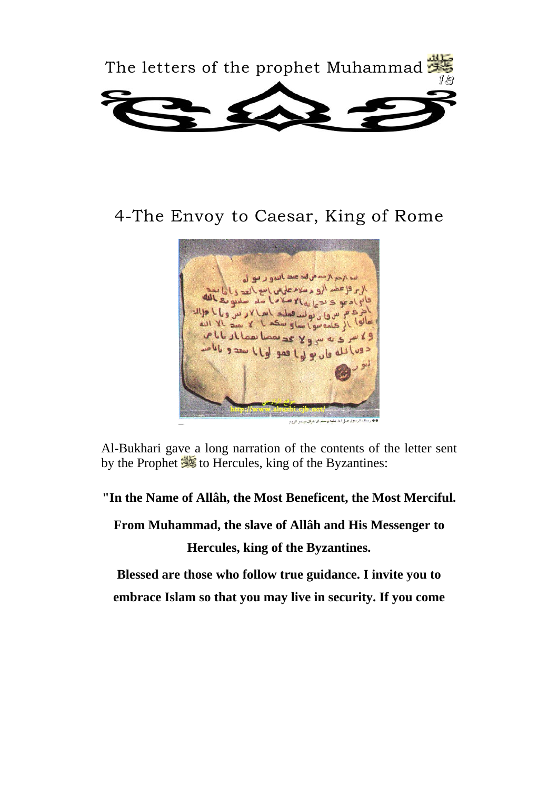

### 4-The Envoy to Caesar, King of Rome



Al-Bukhari gave a long narration of the contents of the letter sent by the Prophet **to** Hercules, king of the Byzantines:

**"In the Name of Allâh, the Most Beneficent, the Most Merciful.** 

**From Muhammad, the slave of Allâh and His Messenger to** 

**Hercules, king of the Byzantines.** 

**Blessed are those who follow true guidance. I invite you to embrace Islam so that you may live in security. If you come**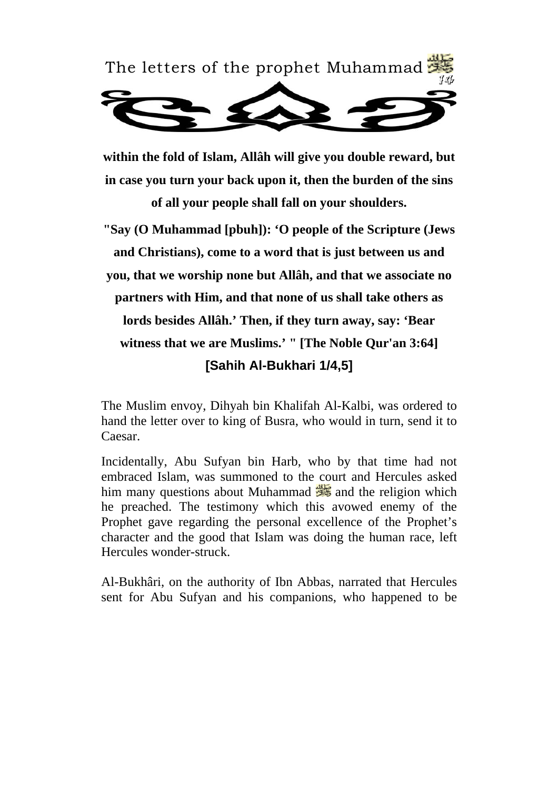

**within the fold of Islam, Allâh will give you double reward, but in case you turn your back upon it, then the burden of the sins of all your people shall fall on your shoulders.** 

**"Say (O Muhammad [pbuh]): 'O people of the Scripture (Jews and Christians), come to a word that is just between us and you, that we worship none but Allâh, and that we associate no partners with Him, and that none of us shall take others as lords besides Allâh.' Then, if they turn away, say: 'Bear witness that we are Muslims.' " [The Noble Qur'an 3:64] [Sahih Al-Bukhari 1/4,5]**

The Muslim envoy, Dihyah bin Khalifah Al-Kalbi, was ordered to hand the letter over to king of Busra, who would in turn, send it to Caesar.

Incidentally, Abu Sufyan bin Harb, who by that time had not embraced Islam, was summoned to the court and Hercules asked him many questions about Muhammad  $\frac{1}{\sqrt{2}}$  and the religion which he preached. The testimony which this avowed enemy of the Prophet gave regarding the personal excellence of the Prophet's character and the good that Islam was doing the human race, left Hercules wonder-struck.

Al-Bukhâri, on the authority of Ibn Abbas, narrated that Hercules sent for Abu Sufyan and his companions, who happened to be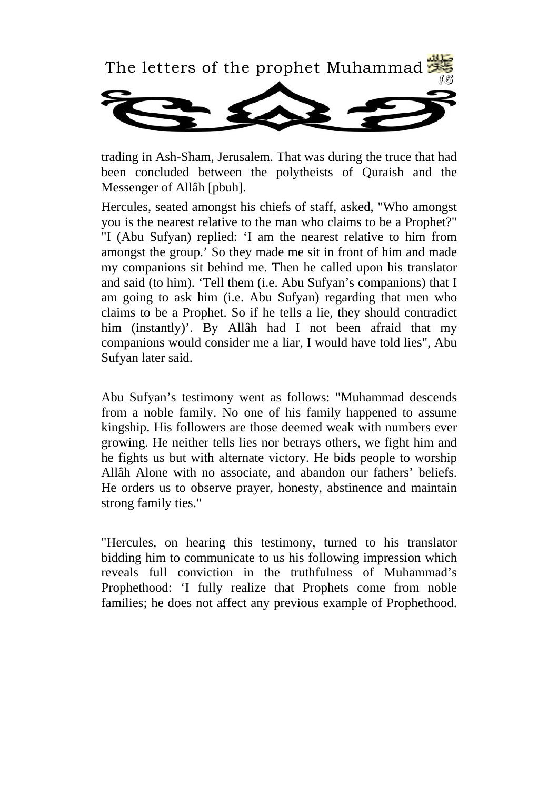

trading in Ash-Sham, Jerusalem. That was during the truce that had been concluded between the polytheists of Quraish and the Messenger of Allâh [pbuh].

Hercules, seated amongst his chiefs of staff, asked, "Who amongst you is the nearest relative to the man who claims to be a Prophet?" "I (Abu Sufyan) replied: 'I am the nearest relative to him from amongst the group.' So they made me sit in front of him and made my companions sit behind me. Then he called upon his translator and said (to him). 'Tell them (i.e. Abu Sufyan's companions) that I am going to ask him (i.e. Abu Sufyan) regarding that men who claims to be a Prophet. So if he tells a lie, they should contradict him (instantly)'. By Allâh had I not been afraid that my companions would consider me a liar, I would have told lies", Abu Sufyan later said.

Abu Sufyan's testimony went as follows: "Muhammad descends from a noble family. No one of his family happened to assume kingship. His followers are those deemed weak with numbers ever growing. He neither tells lies nor betrays others, we fight him and he fights us but with alternate victory. He bids people to worship Allâh Alone with no associate, and abandon our fathers' beliefs. He orders us to observe prayer, honesty, abstinence and maintain strong family ties."

"Hercules, on hearing this testimony, turned to his translator bidding him to communicate to us his following impression which reveals full conviction in the truthfulness of Muhammad's Prophethood: 'I fully realize that Prophets come from noble families; he does not affect any previous example of Prophethood.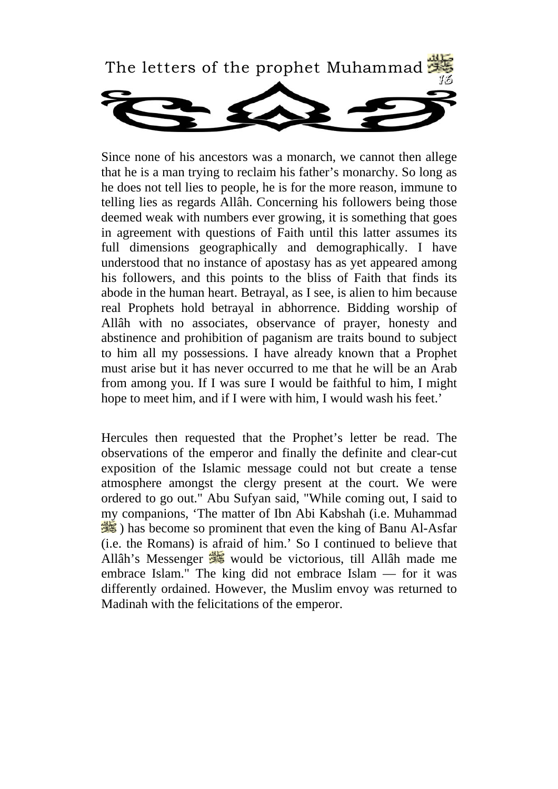

Since none of his ancestors was a monarch, we cannot then allege that he is a man trying to reclaim his father's monarchy. So long as he does not tell lies to people, he is for the more reason, immune to telling lies as regards Allâh. Concerning his followers being those deemed weak with numbers ever growing, it is something that goes in agreement with questions of Faith until this latter assumes its full dimensions geographically and demographically. I have understood that no instance of apostasy has as yet appeared among his followers, and this points to the bliss of Faith that finds its abode in the human heart. Betrayal, as I see, is alien to him because real Prophets hold betrayal in abhorrence. Bidding worship of Allâh with no associates, observance of prayer, honesty and abstinence and prohibition of paganism are traits bound to subject to him all my possessions. I have already known that a Prophet must arise but it has never occurred to me that he will be an Arab from among you. If I was sure I would be faithful to him, I might hope to meet him, and if I were with him, I would wash his feet.'

Hercules then requested that the Prophet's letter be read. The observations of the emperor and finally the definite and clear-cut exposition of the Islamic message could not but create a tense atmosphere amongst the clergy present at the court. We were ordered to go out." Abu Sufyan said, "While coming out, I said to my companions, 'The matter of Ibn Abi Kabshah (i.e. Muhammad ) has become so prominent that even the king of Banu Al-Asfar (i.e. the Romans) is afraid of him.' So I continued to believe that Allâh's Messenger **E** would be victorious, till Allâh made me embrace Islam." The king did not embrace Islam — for it was differently ordained. However, the Muslim envoy was returned to Madinah with the felicitations of the emperor.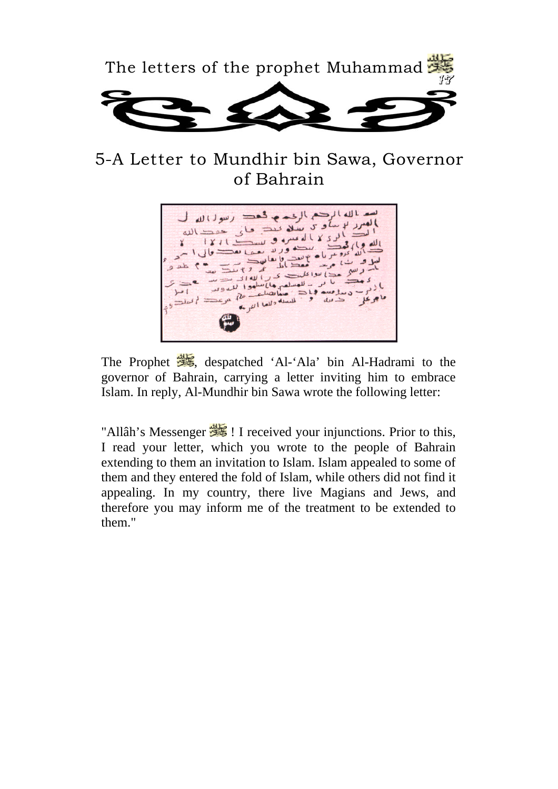

5-A Letter to Mundhir bin Sawa, Governor of Bahrain



The Prophet  $\frac{1}{2}$ , despatched 'Al-'Ala' bin Al-Hadrami to the governor of Bahrain, carrying a letter inviting him to embrace Islam. In reply, Al-Mundhir bin Sawa wrote the following letter:

"Allâh's Messenger  $\frac{1}{\sqrt{2}}$ ! I received your injunctions. Prior to this, I read your letter, which you wrote to the people of Bahrain extending to them an invitation to Islam. Islam appealed to some of them and they entered the fold of Islam, while others did not find it appealing. In my country, there live Magians and Jews, and therefore you may inform me of the treatment to be extended to them."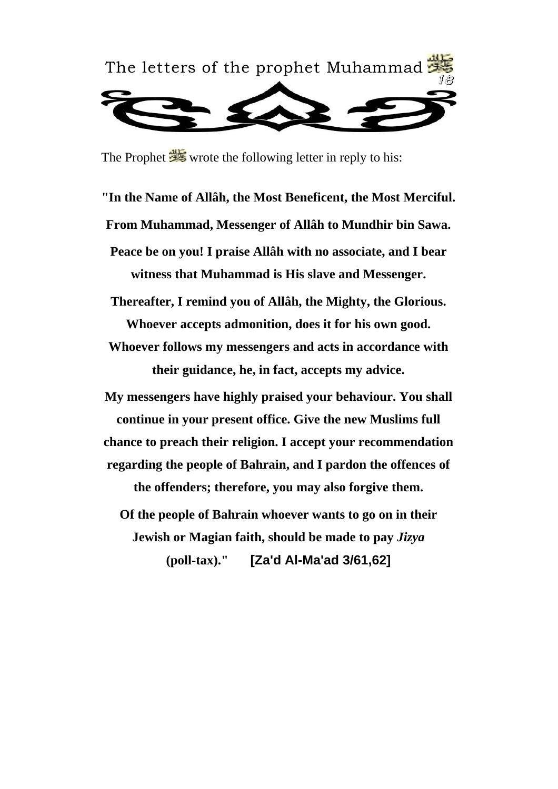

The Prophet wrote the following letter in reply to his:

**"In the Name of Allâh, the Most Beneficent, the Most Merciful. From Muhammad, Messenger of Allâh to Mundhir bin Sawa. Peace be on you! I praise Allâh with no associate, and I bear witness that Muhammad is His slave and Messenger.** 

**Thereafter, I remind you of Allâh, the Mighty, the Glorious. Whoever accepts admonition, does it for his own good. Whoever follows my messengers and acts in accordance with** 

**their guidance, he, in fact, accepts my advice.** 

**My messengers have highly praised your behaviour. You shall continue in your present office. Give the new Muslims full chance to preach their religion. I accept your recommendation regarding the people of Bahrain, and I pardon the offences of the offenders; therefore, you may also forgive them.** 

**Of the people of Bahrain whoever wants to go on in their Jewish or Magian faith, should be made to pay** *Jizya*  **(poll-tax)." [Za'd Al-Ma'ad 3/61,62]**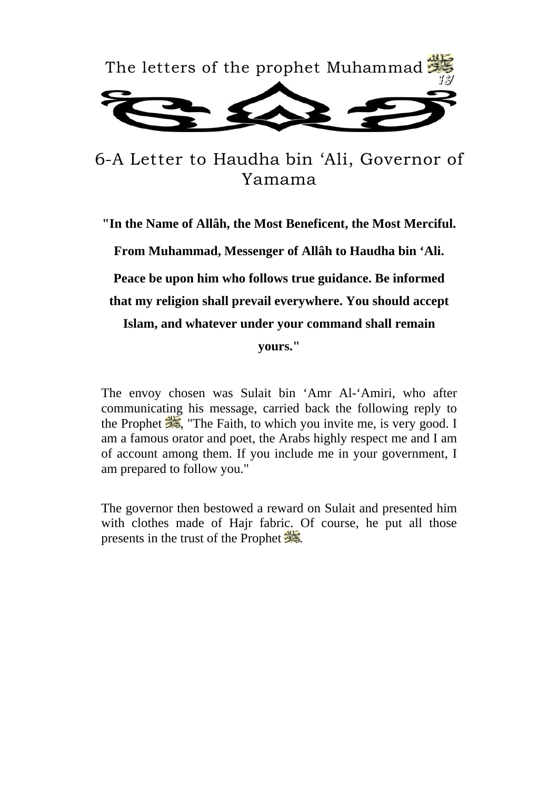

6-A Letter to Haudha bin 'Ali, Governor of Yamama

**"In the Name of Allâh, the Most Beneficent, the Most Merciful. From Muhammad, Messenger of Allâh to Haudha bin 'Ali. Peace be upon him who follows true guidance. Be informed that my religion shall prevail everywhere. You should accept Islam, and whatever under your command shall remain yours."** 

The envoy chosen was Sulait bin 'Amr Al-'Amiri, who after communicating his message, carried back the following reply to the Prophet  $\frac{d}{d\mathbf{k}}$ , "The Faith, to which you invite me, is very good. I am a famous orator and poet, the Arabs highly respect me and I am of account among them. If you include me in your government, I am prepared to follow you."

The governor then bestowed a reward on Sulait and presented him with clothes made of Hajr fabric. Of course, he put all those presents in the trust of the Prophet  $\frac{1}{28}$ .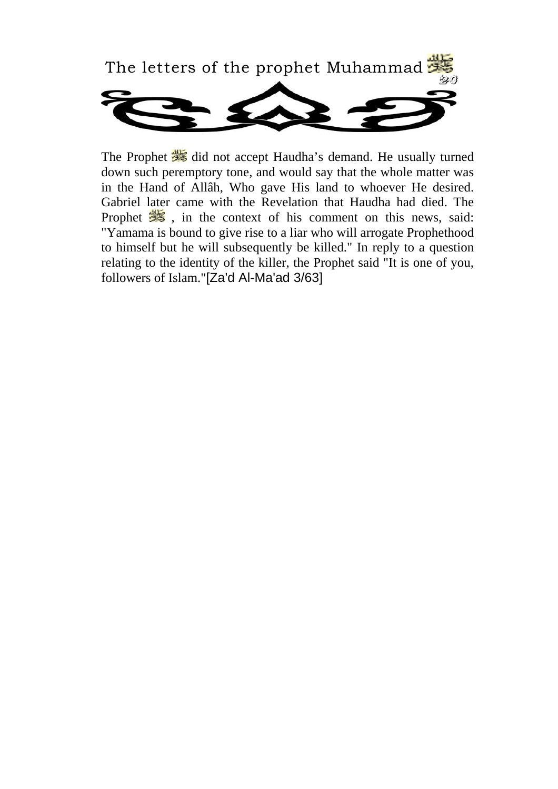

The Prophet did not accept Haudha's demand. He usually turned down such peremptory tone, and would say that the whole matter was in the Hand of Allâh, Who gave His land to whoever He desired. Gabriel later came with the Revelation that Haudha had died. The Prophet  $\frac{d}{dx}$ , in the context of his comment on this news, said: "Yamama is bound to give rise to a liar who will arrogate Prophethood to himself but he will subsequently be killed." In reply to a question relating to the identity of the killer, the Prophet said "It is one of you, followers of Islam."[Za'd Al-Ma'ad 3/63]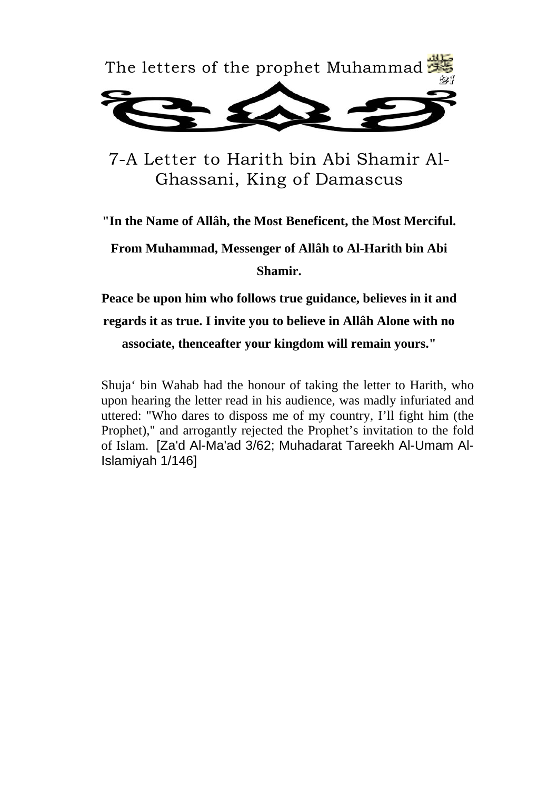

7-A Letter to Harith bin Abi Shamir Al-Ghassani, King of Damascus

**"In the Name of Allâh, the Most Beneficent, the Most Merciful.** 

**From Muhammad, Messenger of Allâh to Al-Harith bin Abi Shamir.** 

**Peace be upon him who follows true guidance, believes in it and regards it as true. I invite you to believe in Allâh Alone with no associate, thenceafter your kingdom will remain yours."** 

Shuja' bin Wahab had the honour of taking the letter to Harith, who upon hearing the letter read in his audience, was madly infuriated and uttered: "Who dares to disposs me of my country, I'll fight him (the Prophet)," and arrogantly rejected the Prophet's invitation to the fold of Islam. [Za'd Al-Ma'ad 3/62; Muhadarat Tareekh Al-Umam Al-Islamiyah 1/146]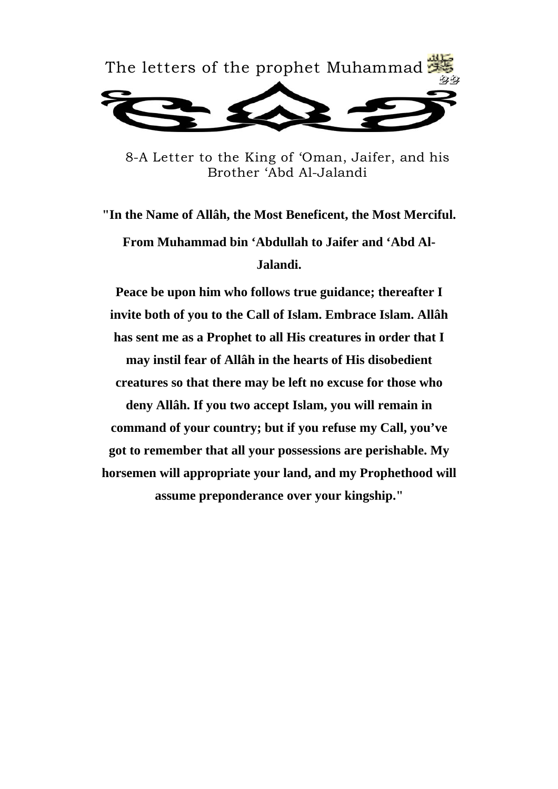

8-A Letter to the King of 'Oman, Jaifer, and his Brother 'Abd Al-Jalandi

**"In the Name of Allâh, the Most Beneficent, the Most Merciful. From Muhammad bin 'Abdullah to Jaifer and 'Abd Al-Jalandi.** 

**Peace be upon him who follows true guidance; thereafter I invite both of you to the Call of Islam. Embrace Islam. Allâh has sent me as a Prophet to all His creatures in order that I may instil fear of Allâh in the hearts of His disobedient creatures so that there may be left no excuse for those who deny Allâh. If you two accept Islam, you will remain in command of your country; but if you refuse my Call, you've got to remember that all your possessions are perishable. My horsemen will appropriate your land, and my Prophethood will assume preponderance over your kingship."**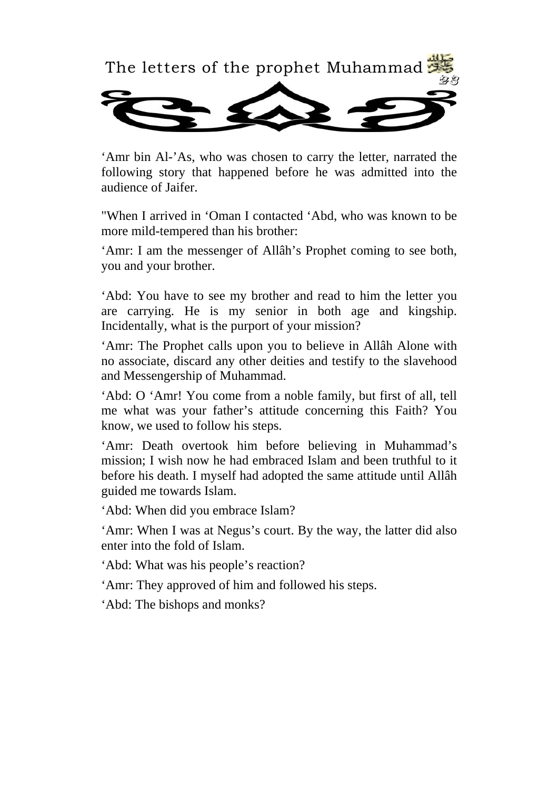

'Amr bin Al-'As, who was chosen to carry the letter, narrated the following story that happened before he was admitted into the audience of Jaifer.

"When I arrived in 'Oman I contacted 'Abd, who was known to be more mild-tempered than his brother:

'Amr: I am the messenger of Allâh's Prophet coming to see both, you and your brother.

'Abd: You have to see my brother and read to him the letter you are carrying. He is my senior in both age and kingship. Incidentally, what is the purport of your mission?

'Amr: The Prophet calls upon you to believe in Allâh Alone with no associate, discard any other deities and testify to the slavehood and Messengership of Muhammad.

'Abd: O 'Amr! You come from a noble family, but first of all, tell me what was your father's attitude concerning this Faith? You know, we used to follow his steps.

'Amr: Death overtook him before believing in Muhammad's mission; I wish now he had embraced Islam and been truthful to it before his death. I myself had adopted the same attitude until Allâh guided me towards Islam.

'Abd: When did you embrace Islam?

'Amr: When I was at Negus's court. By the way, the latter did also enter into the fold of Islam.

'Abd: What was his people's reaction?

'Amr: They approved of him and followed his steps.

'Abd: The bishops and monks?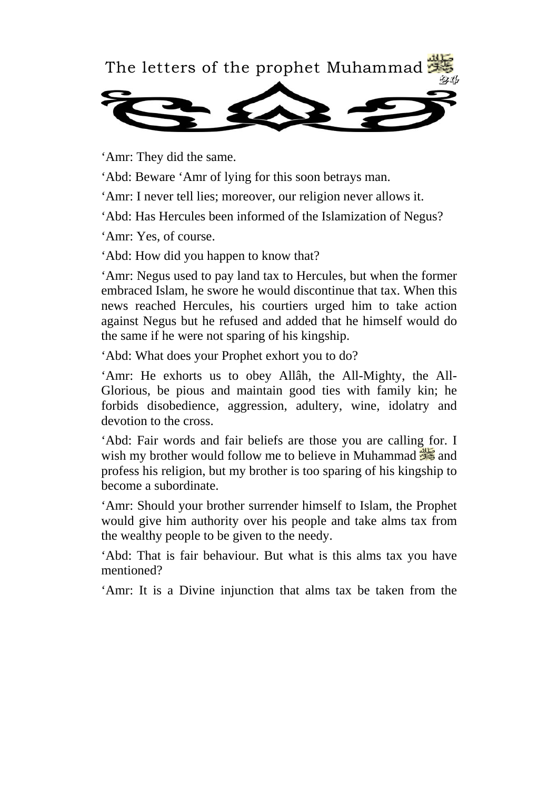

'Amr: They did the same.

'Abd: Beware 'Amr of lying for this soon betrays man.

'Amr: I never tell lies; moreover, our religion never allows it.

'Abd: Has Hercules been informed of the Islamization of Negus?

'Amr: Yes, of course.

'Abd: How did you happen to know that?

'Amr: Negus used to pay land tax to Hercules, but when the former embraced Islam, he swore he would discontinue that tax. When this news reached Hercules, his courtiers urged him to take action against Negus but he refused and added that he himself would do the same if he were not sparing of his kingship.

'Abd: What does your Prophet exhort you to do?

'Amr: He exhorts us to obey Allâh, the All-Mighty, the All-Glorious, be pious and maintain good ties with family kin; he forbids disobedience, aggression, adultery, wine, idolatry and devotion to the cross.

'Abd: Fair words and fair beliefs are those you are calling for. I wish my brother would follow me to believe in Muhammad  $\frac{d}{d\mathbf{S}}$  and profess his religion, but my brother is too sparing of his kingship to become a subordinate.

'Amr: Should your brother surrender himself to Islam, the Prophet would give him authority over his people and take alms tax from the wealthy people to be given to the needy.

'Abd: That is fair behaviour. But what is this alms tax you have mentioned?

'Amr: It is a Divine injunction that alms tax be taken from the